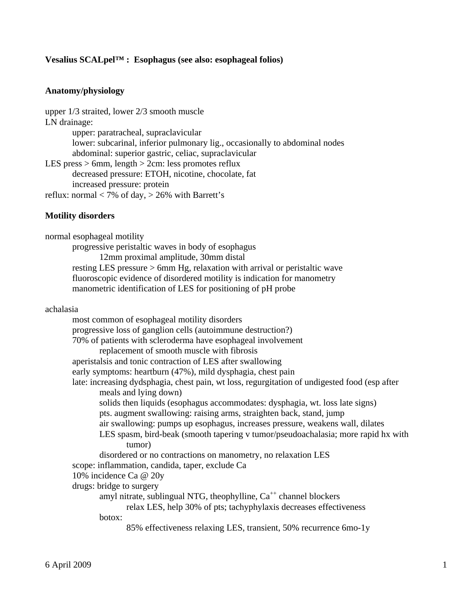# **Vesalius SCALpel™ : Esophagus (see also: esophageal folios)**

### **Anatomy/physiology**

```
upper 1/3 straited, lower 2/3 smooth muscle 
LN drainage: 
        upper: paratracheal, supraclavicular 
        lower: subcarinal, inferior pulmonary lig., occasionally to abdominal nodes 
        abdominal: superior gastric, celiac, supraclavicular 
LES press > 6mm, length > 2cm: less promotes reflux
        decreased pressure: ETOH, nicotine, chocolate, fat 
        increased pressure: protein 
reflux: normal < 7% of day, > 26% with Barrett's
```
#### **Motility disorders**

normal esophageal motility progressive peristaltic waves in body of esophagus 12mm proximal amplitude, 30mm distal resting LES pressure > 6mm Hg, relaxation with arrival or peristaltic wave fluoroscopic evidence of disordered motility is indication for manometry manometric identification of LES for positioning of pH probe

### achalasia

 most common of esophageal motility disorders progressive loss of ganglion cells (autoimmune destruction?) 70% of patients with scleroderma have esophageal involvement replacement of smooth muscle with fibrosis aperistalsis and tonic contraction of LES after swallowing early symptoms: heartburn (47%), mild dysphagia, chest pain late: increasing dydsphagia, chest pain, wt loss, regurgitation of undigested food (esp after meals and lying down) solids then liquids (esophagus accommodates: dysphagia, wt. loss late signs) pts. augment swallowing: raising arms, straighten back, stand, jump air swallowing: pumps up esophagus, increases pressure, weakens wall, dilates LES spasm, bird-beak (smooth tapering v tumor/pseudoachalasia; more rapid hx with tumor) disordered or no contractions on manometry, no relaxation LES scope: inflammation, candida, taper, exclude Ca 10% incidence Ca @ 20y drugs: bridge to surgery amyl nitrate, sublingual NTG, theophylline,  $Ca^{++}$  channel blockers relax LES, help 30% of pts; tachyphylaxis decreases effectiveness botox: 85% effectiveness relaxing LES, transient, 50% recurrence 6mo-1y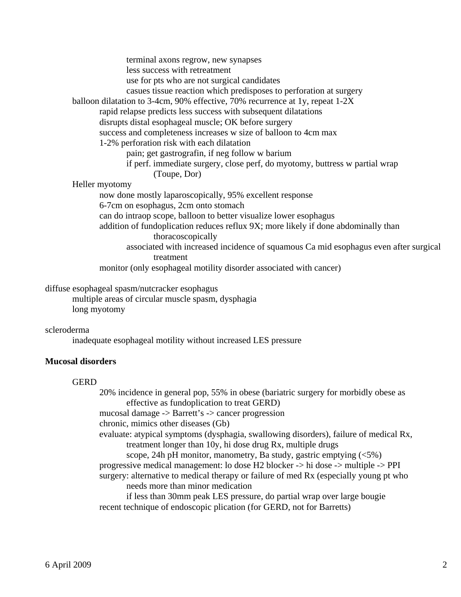terminal axons regrow, new synapses less success with retreatment use for pts who are not surgical candidates casues tissue reaction which predisposes to perforation at surgery balloon dilatation to 3-4cm, 90% effective, 70% recurrence at 1y, repeat 1-2X rapid relapse predicts less success with subsequent dilatations disrupts distal esophageal muscle; OK before surgery success and completeness increases w size of balloon to 4cm max 1-2% perforation risk with each dilatation pain; get gastrografin, if neg follow w barium if perf. immediate surgery, close perf, do myotomy, buttress w partial wrap (Toupe, Dor) Heller myotomy now done mostly laparoscopically, 95% excellent response 6-7cm on esophagus, 2cm onto stomach can do intraop scope, balloon to better visualize lower esophagus addition of fundoplication reduces reflux 9X; more likely if done abdominally than thoracoscopically associated with increased incidence of squamous Ca mid esophagus even after surgical treatment monitor (only esophageal motility disorder associated with cancer)

diffuse esophageal spasm/nutcracker esophagus

 multiple areas of circular muscle spasm, dysphagia long myotomy

scleroderma

inadequate esophageal motility without increased LES pressure

# **Mucosal disorders**

# **GERD**

 20% incidence in general pop, 55% in obese (bariatric surgery for morbidly obese as effective as fundoplication to treat GERD) mucosal damage -> Barrett's -> cancer progression chronic, mimics other diseases (Gb) evaluate: atypical symptoms (dysphagia, swallowing disorders), failure of medical Rx, treatment longer than 10y, hi dose drug Rx, multiple drugs scope, 24h pH monitor, manometry, Ba study, gastric emptying  $\langle 5\% \rangle$  progressive medical management: lo dose H2 blocker -> hi dose -> multiple -> PPI surgery: alternative to medical therapy or failure of med Rx (especially young pt who needs more than minor medication if less than 30mm peak LES pressure, do partial wrap over large bougie recent technique of endoscopic plication (for GERD, not for Barretts)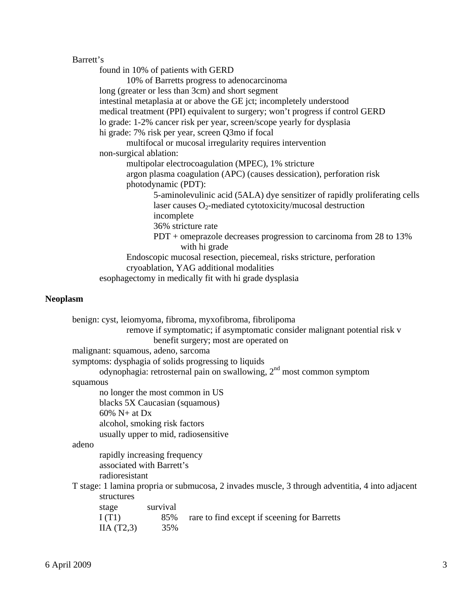# Barrett's

 found in 10% of patients with GERD 10% of Barretts progress to adenocarcinoma long (greater or less than 3cm) and short segment intestinal metaplasia at or above the GE jct; incompletely understood medical treatment (PPI) equivalent to surgery; won't progress if control GERD lo grade: 1-2% cancer risk per year, screen/scope yearly for dysplasia hi grade: 7% risk per year, screen Q3mo if focal multifocal or mucosal irregularity requires intervention non-surgical ablation: multipolar electrocoagulation (MPEC), 1% stricture argon plasma coagulation (APC) (causes dessication), perforation risk photodynamic (PDT): 5-aminolevulinic acid (5ALA) dye sensitizer of rapidly proliferating cells laser causes  $O_2$ -mediated cytotoxicity/mucosal destruction incomplete 36% stricture rate PDT + omeprazole decreases progression to carcinoma from 28 to 13% with hi grade Endoscopic mucosal resection, piecemeal, risks stricture, perforation cryoablation, YAG additional modalities esophagectomy in medically fit with hi grade dysplasia

### **Neoplasm**

| benign: cyst, leiomyoma, fibroma, myxofibroma, fibrolipoma                                      |
|-------------------------------------------------------------------------------------------------|
| remove if symptomatic; if asymptomatic consider malignant potential risk v                      |
| benefit surgery; most are operated on                                                           |
| malignant: squamous, adeno, sarcoma                                                             |
| symptoms: dysphagia of solids progressing to liquids                                            |
| odynophagia: retrosternal pain on swallowing, $2nd$ most common symptom                         |
| squamous                                                                                        |
| no longer the most common in US                                                                 |
| blacks 5X Caucasian (squamous)                                                                  |
| $60\% N+at Dx$                                                                                  |
| alcohol, smoking risk factors                                                                   |
| usually upper to mid, radiosensitive                                                            |
| adeno                                                                                           |
| rapidly increasing frequency                                                                    |
| associated with Barrett's                                                                       |
| radioresistant                                                                                  |
| T stage: 1 lamina propria or submucosa, 2 invades muscle, 3 through adventitia, 4 into adjacent |
| structures                                                                                      |
| survival<br>stage                                                                               |
| I(T1)<br>85%<br>rare to find except if sceening for Barretts                                    |
| $IIA (T2,3)$ 35%                                                                                |
|                                                                                                 |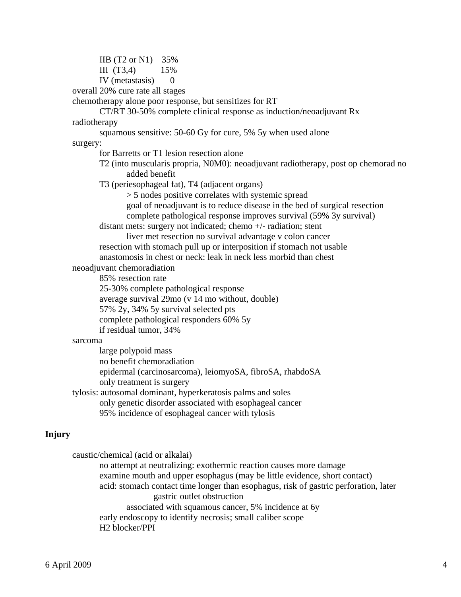IIB (T2 or N1) 35% III (T3,4) 15% IV (metastasis)  $0$ overall 20% cure rate all stages

chemotherapy alone poor response, but sensitizes for RT

 CT/RT 30-50% complete clinical response as induction/neoadjuvant Rx radiotherapy

 squamous sensitive: 50-60 Gy for cure, 5% 5y when used alone surgery:

for Barretts or T1 lesion resection alone

 T2 (into muscularis propria, N0M0): neoadjuvant radiotherapy, post op chemorad no added benefit

T3 (periesophageal fat), T4 (adjacent organs)

> 5 nodes positive correlates with systemic spread

goal of neoadjuvant is to reduce disease in the bed of surgical resection

complete pathological response improves survival (59% 3y survival)

distant mets: surgery not indicated; chemo +/- radiation; stent

 liver met resection no survival advantage v colon cancer resection with stomach pull up or interposition if stomach not usable anastomosis in chest or neck: leak in neck less morbid than chest

neoadjuvant chemoradiation

85% resection rate

25-30% complete pathological response

average survival 29mo (v 14 mo without, double)

57% 2y, 34% 5y survival selected pts

complete pathological responders 60% 5y

if residual tumor, 34%

#### sarcoma

 large polypoid mass no benefit chemoradiation epidermal (carcinosarcoma), leiomyoSA, fibroSA, rhabdoSA only treatment is surgery tylosis: autosomal dominant, hyperkeratosis palms and soles only genetic disorder associated with esophageal cancer

95% incidence of esophageal cancer with tylosis

#### **Injury**

 caustic/chemical (acid or alkalai) no attempt at neutralizing: exothermic reaction causes more damage examine mouth and upper esophagus (may be little evidence, short contact) acid: stomach contact time longer than esophagus, risk of gastric perforation, later gastric outlet obstruction associated with squamous cancer, 5% incidence at 6y early endoscopy to identify necrosis; small caliber scope H2 blocker/PPI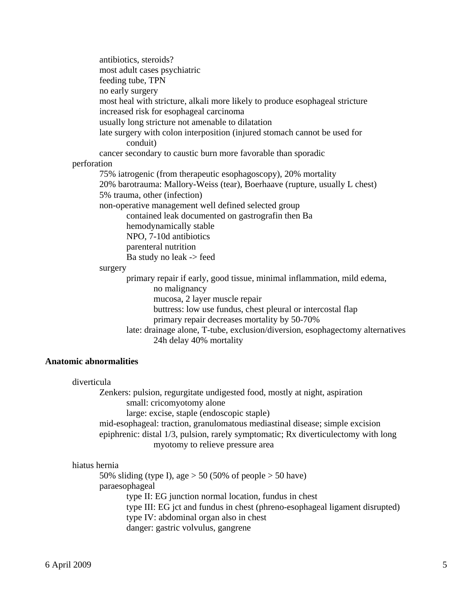antibiotics, steroids? most adult cases psychiatric feeding tube, TPN no early surgery most heal with stricture, alkali more likely to produce esophageal stricture increased risk for esophageal carcinoma usually long stricture not amenable to dilatation late surgery with colon interposition (injured stomach cannot be used for conduit) cancer secondary to caustic burn more favorable than sporadic perforation 75% iatrogenic (from therapeutic esophagoscopy), 20% mortality 20% barotrauma: Mallory-Weiss (tear), Boerhaave (rupture, usually L chest) 5% trauma, other (infection) non-operative management well defined selected group contained leak documented on gastrografin then Ba hemodynamically stable NPO, 7-10d antibiotics parenteral nutrition Ba study no leak -> feed surgery primary repair if early, good tissue, minimal inflammation, mild edema, no malignancy mucosa, 2 layer muscle repair buttress: low use fundus, chest pleural or intercostal flap primary repair decreases mortality by 50-70% late: drainage alone, T-tube, exclusion/diversion, esophagectomy alternatives

# **Anatomic abnormalities**

#### diverticula

 Zenkers: pulsion, regurgitate undigested food, mostly at night, aspiration small: cricomyotomy alone large: excise, staple (endoscopic staple) mid-esophageal: traction, granulomatous mediastinal disease; simple excision epiphrenic: distal 1/3, pulsion, rarely symptomatic; Rx diverticulectomy with long myotomy to relieve pressure area

24h delay 40% mortality

# hiatus hernia

50% sliding (type I), age  $> 50$  (50% of people  $> 50$  have) paraesophageal type II: EG junction normal location, fundus in chest type III: EG jct and fundus in chest (phreno-esophageal ligament disrupted) type IV: abdominal organ also in chest danger: gastric volvulus, gangrene